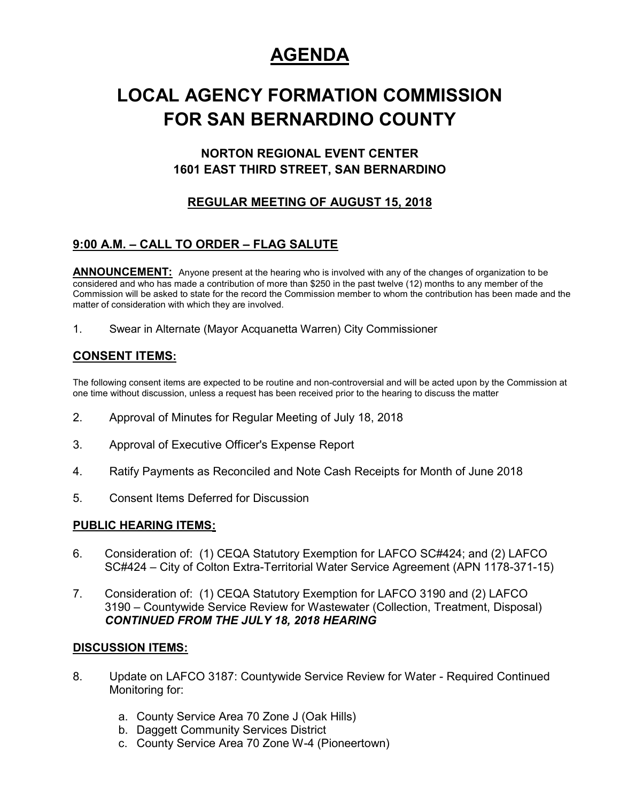# **AGENDA**

# **LOCAL AGENCY FORMATION COMMISSION FOR SAN BERNARDINO COUNTY**

## **NORTON REGIONAL EVENT CENTER 1601 EAST THIRD STREET, SAN BERNARDINO**

## **REGULAR MEETING OF AUGUST 15, 2018**

# **9:00 A.M. – CALL TO ORDER – FLAG SALUTE**

**ANNOUNCEMENT:** Anyone present at the hearing who is involved with any of the changes of organization to be considered and who has made a contribution of more than \$250 in the past twelve (12) months to any member of the Commission will be asked to state for the record the Commission member to whom the contribution has been made and the matter of consideration with which they are involved.

1. Swear in Alternate (Mayor Acquanetta Warren) City Commissioner

## **CONSENT ITEMS:**

The following consent items are expected to be routine and non-controversial and will be acted upon by the Commission at one time without discussion, unless a request has been received prior to the hearing to discuss the matter

- 2. Approval of Minutes for Regular Meeting of July 18, 2018
- 3. Approval of Executive Officer's Expense Report
- 4. Ratify Payments as Reconciled and Note Cash Receipts for Month of June 2018
- 5. Consent Items Deferred for Discussion

### **PUBLIC HEARING ITEMS:**

- 6. Consideration of: (1) CEQA Statutory Exemption for LAFCO SC#424; and (2) LAFCO SC#424 – City of Colton Extra-Territorial Water Service Agreement (APN 1178-371-15)
- 7. Consideration of: (1) CEQA Statutory Exemption for LAFCO 3190 and (2) LAFCO 3190 – Countywide Service Review for Wastewater (Collection, Treatment, Disposal) *CONTINUED FROM THE JULY 18, 2018 HEARING*

### **DISCUSSION ITEMS:**

- 8. Update on LAFCO 3187: Countywide Service Review for Water Required Continued Monitoring for:
	- a. County Service Area 70 Zone J (Oak Hills)
	- b. Daggett Community Services District
	- c. County Service Area 70 Zone W-4 (Pioneertown)